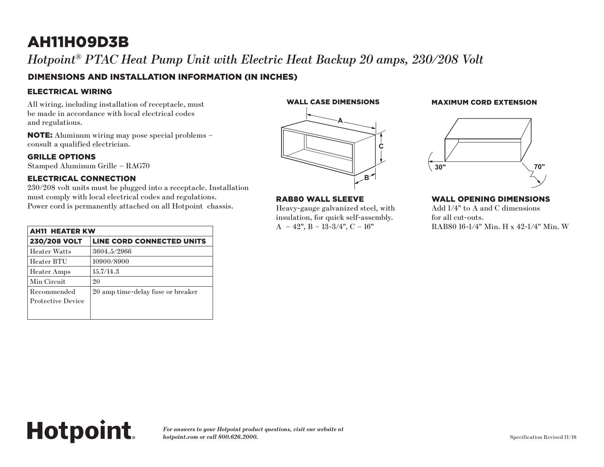## AH11H09D3B

*Hotpoint® PTAC Heat Pump Unit with Electric Heat Backup 20 amps, 230/208 Volt*

#### DIMENSIONS AND INSTALLATION INFORMATION (IN INCHES)

#### ELECTRICAL WIRING

All wiring, including installation of receptacle, must be made in accordance with local electrical codes and regulations.

NOTE: Aluminum wiring may pose special problems – consult a qualified electrician.

#### GRILLE OPTIONS

Stamped Aluminum Grille – RAG70

#### ELECTRICAL CONNECTION

**Hotpoint.** 

230/208 volt units must be plugged into a receptacle. Installation must comply with local electrical codes and regulations. Power cord is permanently attached on all Hotpoint chassis.

| <b>AH11 HEATER KW</b>                   |                                   |
|-----------------------------------------|-----------------------------------|
| 230/208 VOLT                            | LINE CORD CONNECTED UNITS         |
| <b>Heater Watts</b>                     | 3604.5/2966                       |
| Heater BTU                              | 10900/8900                        |
| <b>Heater Amps</b>                      | 15.7/14.3                         |
| Min Circuit                             | 20                                |
| Recommended<br><b>Protective Device</b> | 20 amp time-delay fuse or breaker |
|                                         |                                   |



## **A C B**

#### RAB80 WALL SLEEVE

Heavy-gauge galvanized steel, with **RAB80 Wall Sleeve RAB80 Wall Sleeve EXECUTE:** FOR THE FOR THE INSURANCE STEEL, SNAP TO THE INSURANCE STEEL, SNAP TO THE INSURANCE IS IN THE ORDER.  $A - 42$ ",  $B - 13-3/4$ ",  $C - 16$ " uick self-assembly. **Wall Opening Dimensions**

#### WALL CASE DIMENSIONS MAXIMUM CORD EXTENSION (in inches) (in inches)



#### WALL OPENING DIMENSIONS

 $i$ zed steel, with  $\qquad \qquad \text{Add } 1/4" \text{ to } A \text{ and } C \text{ dimensions}$ for all cut-outs. RAB80 16-1/4" Min. H x 42-1/4" Min. W